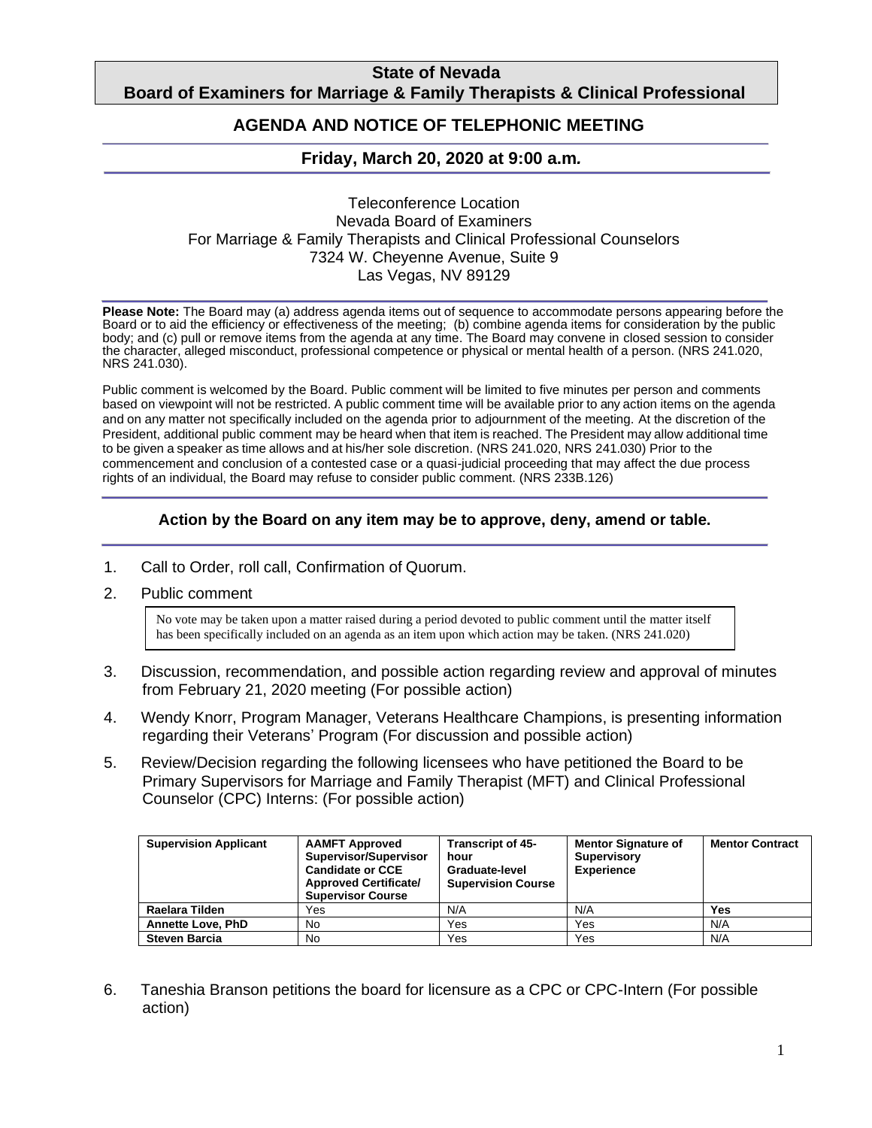## **State of Nevada Board of Examiners for Marriage & Family Therapists & Clinical Professional**

#### **Counting AGENDA AND NOTICE OF TELEPHONIC MEETING**

## **Friday, March 20, 2020 at 9:00 a.m***.*

### Teleconference Location Nevada Board of Examiners For Marriage & Family Therapists and Clinical Professional Counselors 7324 W. Cheyenne Avenue, Suite 9 Las Vegas, NV 89129

**Please Note:** The Board may (a) address agenda items out of sequence to accommodate persons appearing before the Board or to aid the efficiency or effectiveness of the meeting; (b) combine agenda items for consideration by the public body; and (c) pull or remove items from the agenda at any time. The Board may convene in closed session to consider the character, alleged misconduct, professional competence or physical or mental health of a person. (NRS 241.020, NRS 241.030).

Public comment is welcomed by the Board. Public comment will be limited to five minutes per person and comments based on viewpoint will not be restricted. A public comment time will be available prior to any action items on the agenda and on any matter not specifically included on the agenda prior to adjournment of the meeting. At the discretion of the President, additional public comment may be heard when that item is reached. The President may allow additional time to be given a speaker as time allows and at his/her sole discretion. (NRS 241.020, NRS 241.030) Prior to the commencement and conclusion of a contested case or a quasi-judicial proceeding that may affect the due process rights of an individual, the Board may refuse to consider public comment. (NRS 233B.126)

## **Action by the Board on any item may be to approve, deny, amend or table.**

- 1. Call to Order, roll call, Confirmation of Quorum.
- 2. Public comment

No vote may be taken upon a matter raised during a period devoted to public comment until the matter itself has been specifically included on an agenda as an item upon which action may be taken. (NRS 241.020)

- 3. Discussion, recommendation, and possible action regarding review and approval of minutes from February 21, 2020 meeting (For possible action)
- 4. Wendy Knorr, Program Manager, Veterans Healthcare Champions, is presenting information regarding their Veterans' Program (For discussion and possible action)
- 5. Review/Decision regarding the following licensees who have petitioned the Board to be Primary Supervisors for Marriage and Family Therapist (MFT) and Clinical Professional Counselor (CPC) Interns: (For possible action)

| <b>Supervision Applicant</b> | <b>AAMFT Approved</b><br>Supervisor/Supervisor<br><b>Candidate or CCE</b><br><b>Approved Certificate/</b><br><b>Supervisor Course</b> | <b>Transcript of 45-</b><br>hour<br>Graduate-level<br><b>Supervision Course</b> | <b>Mentor Signature of</b><br><b>Supervisory</b><br><b>Experience</b> | <b>Mentor Contract</b> |
|------------------------------|---------------------------------------------------------------------------------------------------------------------------------------|---------------------------------------------------------------------------------|-----------------------------------------------------------------------|------------------------|
| Raelara Tilden               | Yes                                                                                                                                   | N/A                                                                             | N/A                                                                   | Yes                    |
| <b>Annette Love, PhD</b>     | No.                                                                                                                                   | Yes                                                                             | Yes                                                                   | N/A                    |
| <b>Steven Barcia</b>         | No.                                                                                                                                   | Yes                                                                             | Yes                                                                   | N/A                    |

6. Taneshia Branson petitions the board for licensure as a CPC or CPC-Intern (For possible action)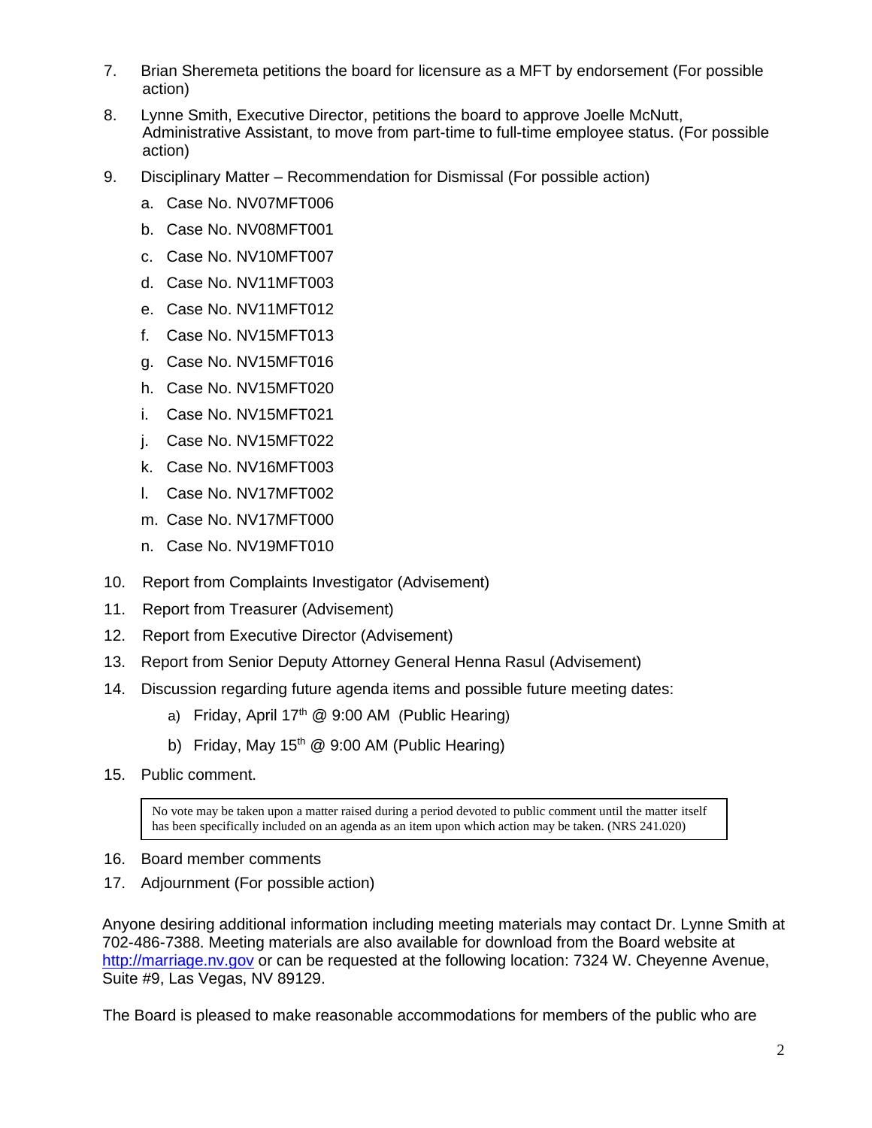- 7. Brian Sheremeta petitions the board for licensure as a MFT by endorsement (For possible action)
- 8. Lynne Smith, Executive Director, petitions the board to approve Joelle McNutt, Administrative Assistant, to move from part-time to full-time employee status. (For possible action)
- 9. Disciplinary Matter Recommendation for Dismissal (For possible action)
	- a. Case No. NV07MFT006
	- b. Case No. NV08MFT001
	- c. Case No. NV10MFT007
	- d. Case No. NV11MFT003
	- e. Case No. NV11MFT012
	- f. Case No. NV15MFT013
	- g. Case No. NV15MFT016
	- h. Case No. NV15MFT020
	- i. Case No. NV15MFT021
	- j. Case No. NV15MFT022
	- k. Case No. NV16MFT003
	- l. Case No. NV17MFT002
	- m. Case No. NV17MFT000
	- n. Case No. NV19MFT010
- 10. Report from Complaints Investigator (Advisement)
- 11. Report from Treasurer (Advisement)
- 12. Report from Executive Director (Advisement)
- 13. Report from Senior Deputy Attorney General Henna Rasul (Advisement)
- 14. Discussion regarding future agenda items and possible future meeting dates:
	- a) Friday, April  $17<sup>th</sup>$  @ 9:00 AM (Public Hearing)
	- b) Friday, May  $15<sup>th</sup>$  @ 9:00 AM (Public Hearing)
- 15. Public comment.

No vote may be taken upon a matter raised during a period devoted to public comment until the matter itself has been specifically included on an agenda as an item upon which action may be taken. (NRS 241.020)

- 16. Board member comments
- 17. Adjournment (For possible action)

Anyone desiring additional information including meeting materials may contact Dr. Lynne Smith at 702-486-7388. Meeting materials are also available for download from the Board website at [http://marriage.nv.gov](http://marriage.nv.gov/) or can be requested at the following location: 7324 W. Cheyenne Avenue, Suite #9, Las Vegas, NV 89129.

The Board is pleased to make reasonable accommodations for members of the public who are